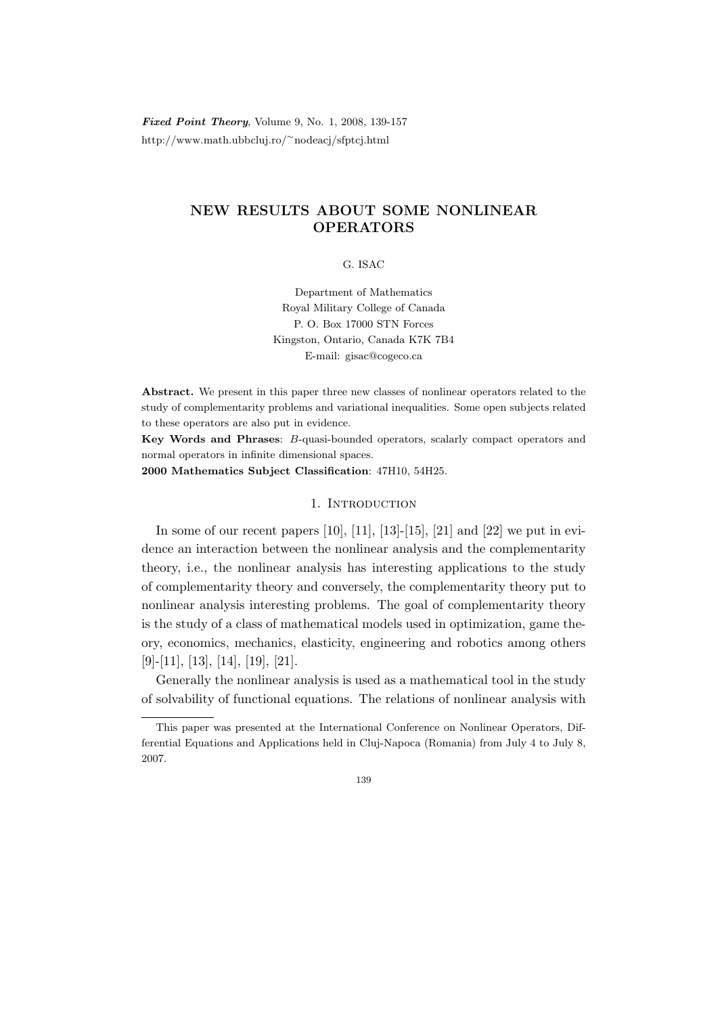Fixed Point Theory, Volume 9, No. 1, 2008, 139-157 http://www.math.ubbcluj.ro/<sup>∼</sup>nodeacj/sfptcj.html

# NEW RESULTS ABOUT SOME NONLINEAR OPERATORS

G. ISAC

Department of Mathematics Royal Military College of Canada P. O. Box 17000 STN Forces Kingston, Ontario, Canada K7K 7B4 E-mail: gisac@cogeco.ca

Abstract. We present in this paper three new classes of nonlinear operators related to the study of complementarity problems and variational inequalities. Some open subjects related to these operators are also put in evidence.

Key Words and Phrases: B-quasi-bounded operators, scalarly compact operators and normal operators in infinite dimensional spaces.

2000 Mathematics Subject Classification: 47H10, 54H25.

## 1. INTRODUCTION

In some of our recent papers  $[10]$ ,  $[11]$ ,  $[13]$ - $[15]$ ,  $[21]$  and  $[22]$  we put in evidence an interaction between the nonlinear analysis and the complementarity theory, i.e., the nonlinear analysis has interesting applications to the study of complementarity theory and conversely, the complementarity theory put to nonlinear analysis interesting problems. The goal of complementarity theory is the study of a class of mathematical models used in optimization, game theory, economics, mechanics, elasticity, engineering and robotics among others [9]-[11], [13], [14], [19], [21].

Generally the nonlinear analysis is used as a mathematical tool in the study of solvability of functional equations. The relations of nonlinear analysis with

This paper was presented at the International Conference on Nonlinear Operators, Differential Equations and Applications held in Cluj-Napoca (Romania) from July 4 to July 8, 2007.

<sup>139</sup>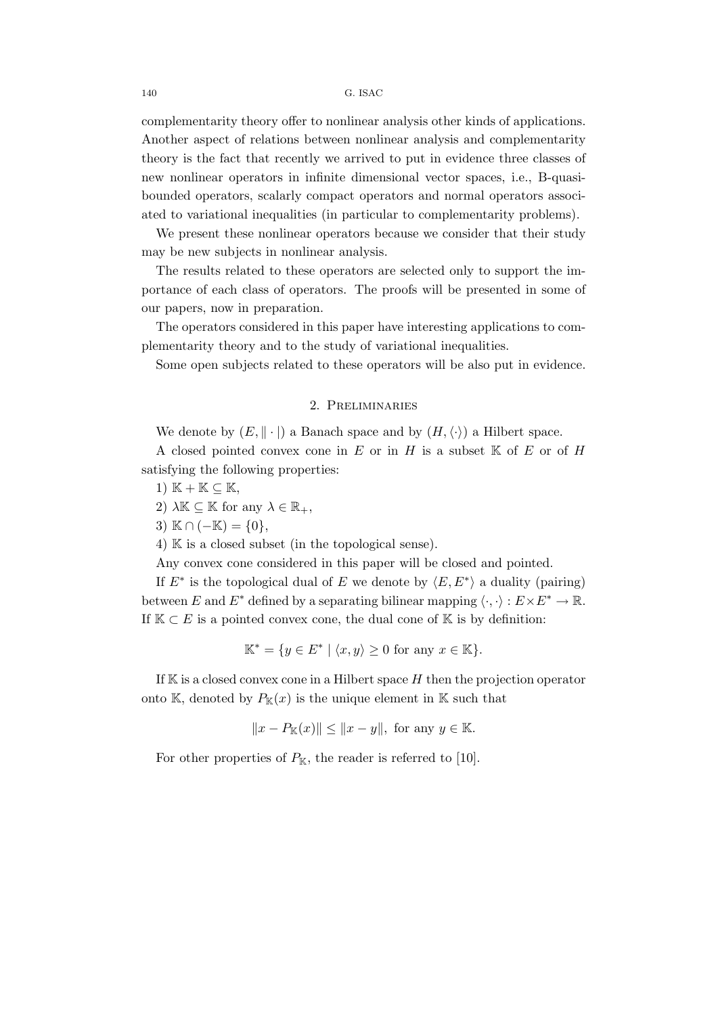complementarity theory offer to nonlinear analysis other kinds of applications. Another aspect of relations between nonlinear analysis and complementarity theory is the fact that recently we arrived to put in evidence three classes of new nonlinear operators in infinite dimensional vector spaces, i.e., B-quasibounded operators, scalarly compact operators and normal operators associated to variational inequalities (in particular to complementarity problems).

We present these nonlinear operators because we consider that their study may be new subjects in nonlinear analysis.

The results related to these operators are selected only to support the importance of each class of operators. The proofs will be presented in some of our papers, now in preparation.

The operators considered in this paper have interesting applications to complementarity theory and to the study of variational inequalities.

Some open subjects related to these operators will be also put in evidence.

### 2. Preliminaries

We denote by  $(E, \|\cdot\|)$  a Banach space and by  $(H, \langle \cdot \rangle)$  a Hilbert space.

A closed pointed convex cone in  $E$  or in  $H$  is a subset  $K$  of  $E$  or of  $H$ satisfying the following properties:

1)  $\mathbb{K} + \mathbb{K} \subseteq \mathbb{K}$ ,

2)  $\lambda \mathbb{K} \subseteq \mathbb{K}$  for any  $\lambda \in \mathbb{R}_+$ ,

3)  $\mathbb{K} \cap (-\mathbb{K}) = \{0\},\,$ 

4) K is a closed subset (in the topological sense).

Any convex cone considered in this paper will be closed and pointed.

If  $E^*$  is the topological dual of E we denote by  $\langle E, E^* \rangle$  a duality (pairing) between E and E<sup>\*</sup> defined by a separating bilinear mapping  $\langle \cdot, \cdot \rangle : E \times E^* \to \mathbb{R}$ . If  $K \subset E$  is a pointed convex cone, the dual cone of K is by definition:

$$
\mathbb{K}^* = \{ y \in E^* \mid \langle x, y \rangle \ge 0 \text{ for any } x \in \mathbb{K} \}.
$$

If  $K$  is a closed convex cone in a Hilbert space  $H$  then the projection operator onto K, denoted by  $P_{K}(x)$  is the unique element in K such that

$$
||x - P_{\mathbb{K}}(x)|| \le ||x - y||
$$
, for any  $y \in \mathbb{K}$ .

For other properties of  $P_{\mathbb{K}}$ , the reader is referred to [10].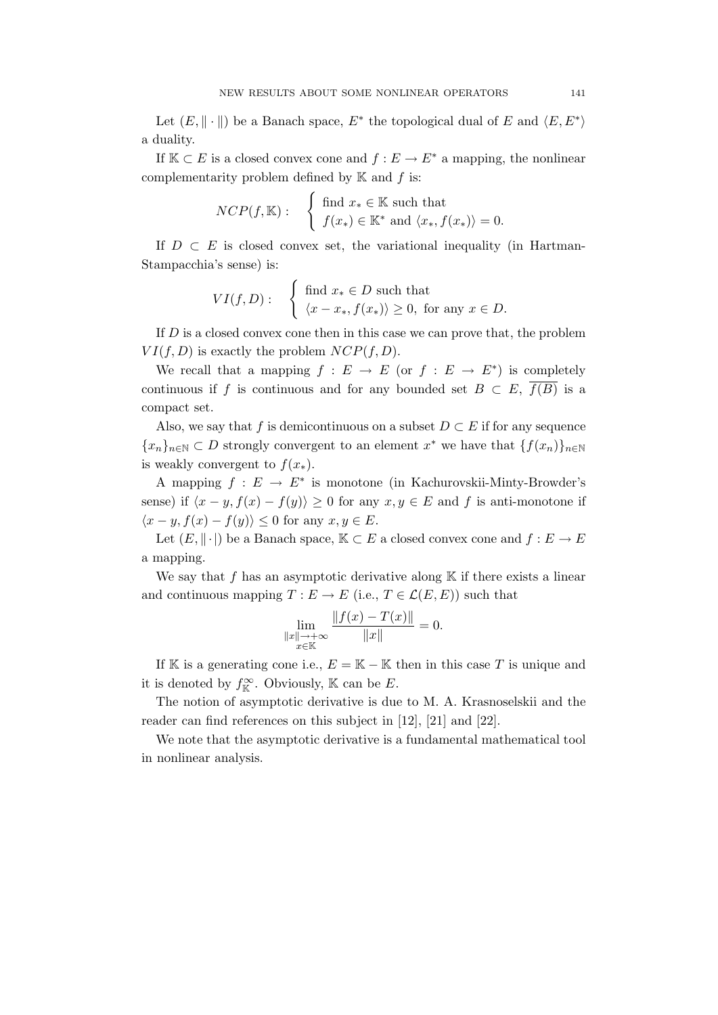Let  $(E, \|\cdot\|)$  be a Banach space,  $E^*$  the topological dual of E and  $\langle E, E^* \rangle$ a duality.

If  $K \subset E$  is a closed convex cone and  $f : E \to E^*$  a mapping, the nonlinear complementarity problem defined by  $K$  and  $f$  is:

$$
NCP(f, \mathbb{K}): \quad \begin{cases} \text{ find } x_* \in \mathbb{K} \text{ such that} \\ f(x_*) \in \mathbb{K}^* \text{ and } \langle x_*, f(x_*) \rangle = 0. \end{cases}
$$

If  $D \subset E$  is closed convex set, the variational inequality (in Hartman-Stampacchia's sense) is:

$$
VI(f, D): \quad \begin{cases} \text{ find } x_* \in D \text{ such that} \\ \langle x - x_*, f(x_*) \rangle \ge 0, \text{ for any } x \in D. \end{cases}
$$

If D is a closed convex cone then in this case we can prove that, the problem  $VI(f, D)$  is exactly the problem  $NCP(f, D)$ .

We recall that a mapping  $f: E \to E$  (or  $f: E \to E^*$ ) is completely continuous if f is continuous and for any bounded set  $B \subset E$ ,  $\overline{f(B)}$  is a compact set.

Also, we say that f is demicontinuous on a subset  $D \subset E$  if for any sequence  ${x_n}_{n\in\mathbb{N}}\subset D$  strongly convergent to an element  $x^*$  we have that  ${f(x_n)}_{n\in\mathbb{N}}$ is weakly convergent to  $f(x_*)$ .

A mapping  $f: E \to E^*$  is monotone (in Kachurovskii-Minty-Browder's sense) if  $\langle x - y, f(x) - f(y) \rangle \geq 0$  for any  $x, y \in E$  and f is anti-monotone if  $\langle x-y, f(x)-f(y)\rangle \leq 0$  for any  $x, y \in E$ .

Let  $(E, \|\cdot\|)$  be a Banach space,  $\mathbb{K} \subset E$  a closed convex cone and  $f : E \to E$ a mapping.

We say that  $f$  has an asymptotic derivative along  $K$  if there exists a linear and continuous mapping  $T : E \to E$  (i.e.,  $T \in \mathcal{L}(E, E)$ ) such that

$$
\lim_{\substack{\|x\| \to +\infty \\ x \in \mathbb{K}}} \frac{\|f(x) - T(x)\|}{\|x\|} = 0.
$$

If K is a generating cone i.e.,  $E = K - K$  then in this case T is unique and it is denoted by  $f_{\mathbb{K}}^{\infty}$ . Obviously,  $\mathbb{K}$  can be E.

The notion of asymptotic derivative is due to M. A. Krasnoselskii and the reader can find references on this subject in [12], [21] and [22].

We note that the asymptotic derivative is a fundamental mathematical tool in nonlinear analysis.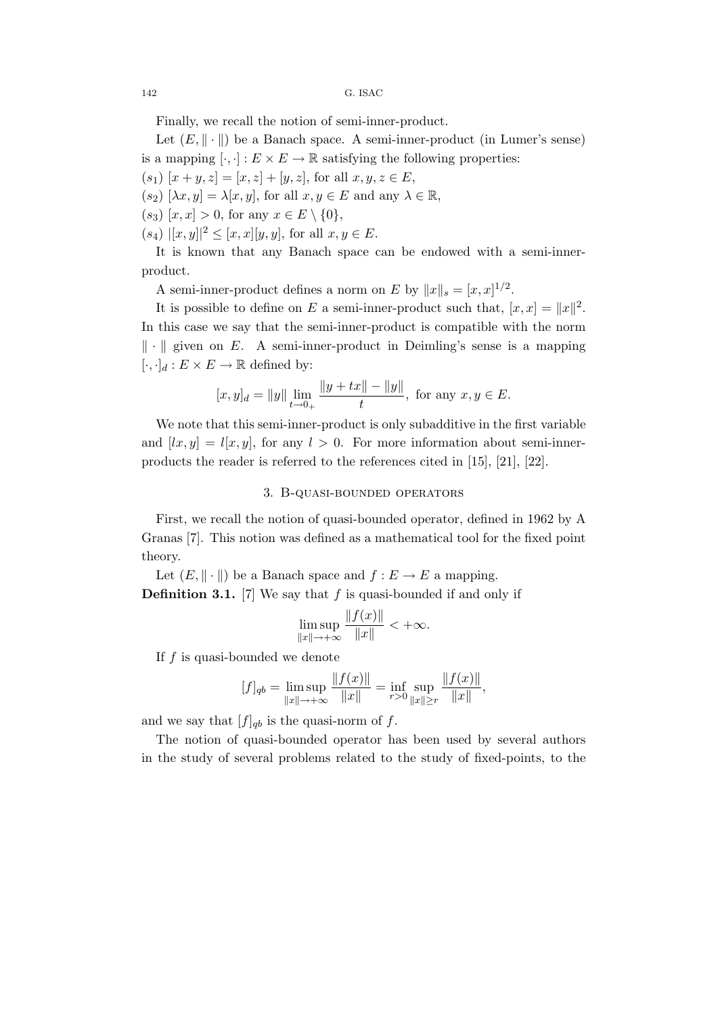Finally, we recall the notion of semi-inner-product.

Let  $(E, \|\cdot\|)$  be a Banach space. A semi-inner-product (in Lumer's sense) is a mapping  $[\cdot, \cdot] : E \times E \to \mathbb{R}$  satisfying the following properties:

 $(s_1)$  [x + y, z] = [x, z] + [y, z], for all  $x, y, z \in E$ ,

 $(s_2)$   $[\lambda x, y] = \lambda [x, y]$ , for all  $x, y \in E$  and any  $\lambda \in \mathbb{R}$ ,

(s<sub>3</sub>) [x, x] > 0, for any  $x \in E \setminus \{0\}$ ,

 $(s_4)$   $|[x, y]|^2 \leq [x, x][y, y]$ , for all  $x, y \in E$ .

It is known that any Banach space can be endowed with a semi-innerproduct.

A semi-inner-product defines a norm on E by  $||x||_s = [x, x]^{1/2}$ .

It is possible to define on E a semi-inner-product such that,  $[x, x] = ||x||^2$ . In this case we say that the semi-inner-product is compatible with the norm  $\|\cdot\|$  given on E. A semi-inner-product in Deimling's sense is a mapping  $[\cdot,\cdot]_d : E \times E \to \mathbb{R}$  defined by:

$$
[x, y]_d = ||y|| \lim_{t \to 0_+} \frac{||y + tx|| - ||y||}{t}
$$
, for any  $x, y \in E$ .

We note that this semi-inner-product is only subadditive in the first variable and  $[lx, y] = l[x, y]$ , for any  $l > 0$ . For more information about semi-innerproducts the reader is referred to the references cited in [15], [21], [22].

#### 3. B-quasi-bounded operators

First, we recall the notion of quasi-bounded operator, defined in 1962 by A Granas [7]. This notion was defined as a mathematical tool for the fixed point theory.

Let  $(E, \|\cdot\|)$  be a Banach space and  $f : E \to E$  a mapping. **Definition 3.1.** [7] We say that  $f$  is quasi-bounded if and only if

$$
\limsup_{\|x\|\to+\infty}\frac{\|f(x)\|}{\|x\|}<+\infty.
$$

If  $f$  is quasi-bounded we denote

$$
[f]_{qb} = \limsup_{\|x\| \to +\infty} \frac{\|f(x)\|}{\|x\|} = \inf_{r>0} \sup_{\|x\| \ge r} \frac{\|f(x)\|}{\|x\|},
$$

and we say that  $[f]_{qb}$  is the quasi-norm of f.

The notion of quasi-bounded operator has been used by several authors in the study of several problems related to the study of fixed-points, to the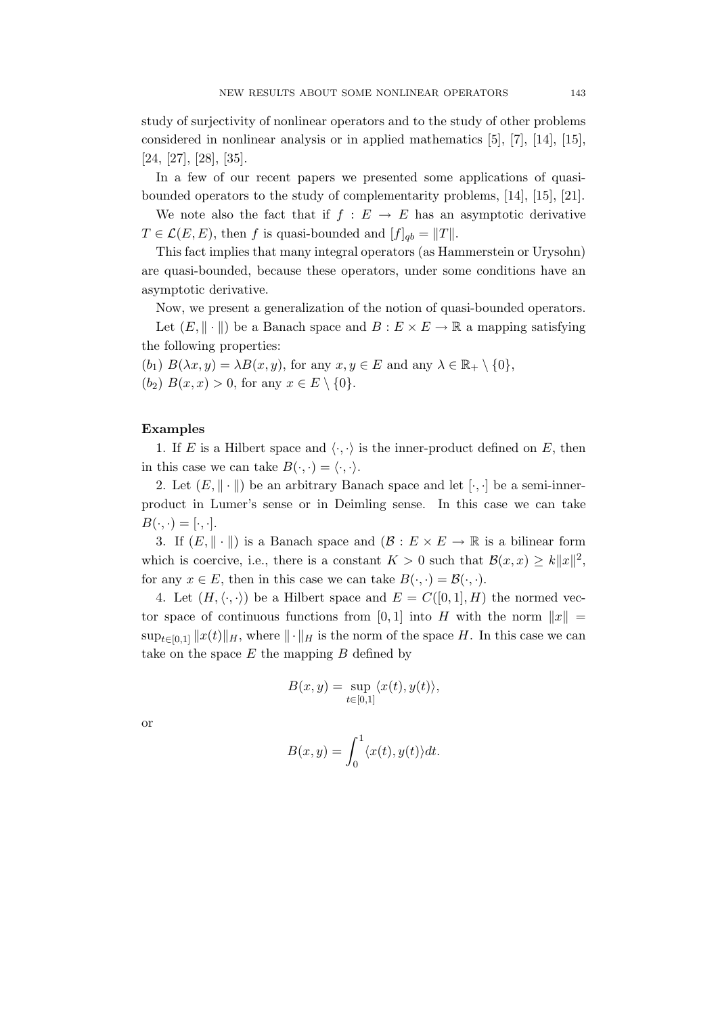study of surjectivity of nonlinear operators and to the study of other problems considered in nonlinear analysis or in applied mathematics [5], [7], [14], [15], [24, [27], [28], [35].

In a few of our recent papers we presented some applications of quasibounded operators to the study of complementarity problems, [14], [15], [21].

We note also the fact that if  $f : E \to E$  has an asymptotic derivative  $T \in \mathcal{L}(E, E)$ , then f is quasi-bounded and  $[f]_{qb} = ||T||$ .

This fact implies that many integral operators (as Hammerstein or Urysohn) are quasi-bounded, because these operators, under some conditions have an asymptotic derivative.

Now, we present a generalization of the notion of quasi-bounded operators.

Let  $(E, \|\cdot\|)$  be a Banach space and  $B : E \times E \to \mathbb{R}$  a mapping satisfying the following properties:

 $(b_1) B(\lambda x, y) = \lambda B(x, y)$ , for any  $x, y \in E$  and any  $\lambda \in \mathbb{R}_+ \setminus \{0\}$ , (b<sub>2</sub>)  $B(x, x) > 0$ , for any  $x \in E \setminus \{0\}$ .

## Examples

1. If E is a Hilbert space and  $\langle \cdot, \cdot \rangle$  is the inner-product defined on E, then in this case we can take  $B(\cdot, \cdot) = \langle \cdot, \cdot \rangle$ .

2. Let  $(E, \|\cdot\|)$  be an arbitrary Banach space and let  $[\cdot, \cdot]$  be a semi-innerproduct in Lumer's sense or in Deimling sense. In this case we can take  $B(\cdot, \cdot) = [\cdot, \cdot].$ 

3. If  $(E, \|\cdot\|)$  is a Banach space and  $(\mathcal{B}: E \times E \to \mathbb{R}$  is a bilinear form which is coercive, i.e., there is a constant  $K > 0$  such that  $\mathcal{B}(x, x) \geq k||x||^2$ , for any  $x \in E$ , then in this case we can take  $B(\cdot, \cdot) = \mathcal{B}(\cdot, \cdot)$ .

4. Let  $(H, \langle \cdot, \cdot \rangle)$  be a Hilbert space and  $E = C([0, 1], H)$  the normed vector space of continuous functions from [0, 1] into H with the norm  $||x|| =$  $\sup_{t\in[0,1]} ||x(t)||_H$ , where  $||\cdot||_H$  is the norm of the space H. In this case we can take on the space  $E$  the mapping  $B$  defined by

$$
B(x, y) = \sup_{t \in [0,1]} \langle x(t), y(t) \rangle,
$$

or

$$
B(x, y) = \int_0^1 \langle x(t), y(t) \rangle dt.
$$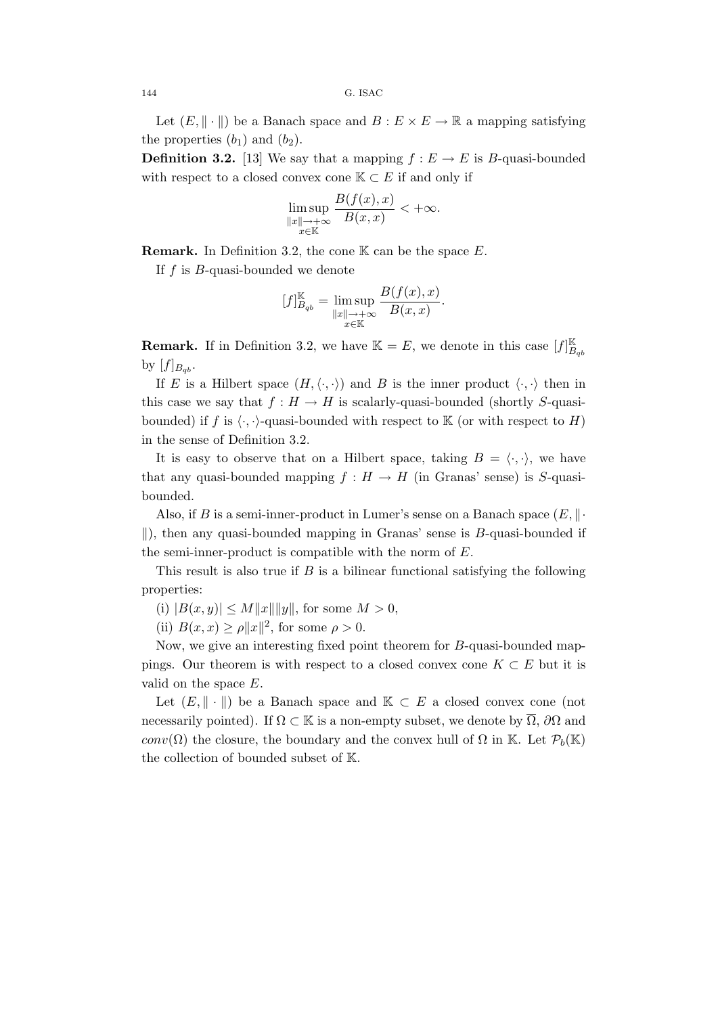Let  $(E, \|\cdot\|)$  be a Banach space and  $B : E \times E \to \mathbb{R}$  a mapping satisfying the properties  $(b_1)$  and  $(b_2)$ .

**Definition 3.2.** [13] We say that a mapping  $f : E \to E$  is B-quasi-bounded with respect to a closed convex cone  $K \subset E$  if and only if

$$
\limsup_{\substack{\|x\| \to +\infty \\ x \in \mathbb{K}}} \frac{B(f(x), x)}{B(x, x)} < +\infty.
$$

**Remark.** In Definition 3.2, the cone  $K$  can be the space  $E$ .

If  $f$  is  $B$ -quasi-bounded we denote

$$
[f]_{B_{qb}}^{\mathbb{K}} = \limsup_{\substack{\|x\| \to +\infty \\ x \in \mathbb{K}}} \frac{B(f(x), x)}{B(x, x)}.
$$

**Remark.** If in Definition 3.2, we have  $\mathbb{K} = E$ , we denote in this case  $[f]_E^{\mathbb{K}}$  $B_{qt}$ by  $[f]_{B_{ab}}$ .

If E is a Hilbert space  $(H, \langle \cdot, \cdot \rangle)$  and B is the inner product  $\langle \cdot, \cdot \rangle$  then in this case we say that  $f : H \to H$  is scalarly-quasi-bounded (shortly S-quasibounded) if f is  $\langle \cdot, \cdot \rangle$ -quasi-bounded with respect to K (or with respect to H) in the sense of Definition 3.2.

It is easy to observe that on a Hilbert space, taking  $B = \langle \cdot, \cdot \rangle$ , we have that any quasi-bounded mapping  $f : H \to H$  (in Granas' sense) is S-quasibounded.

Also, if B is a semi-inner-product in Lumer's sense on a Banach space  $(E, \| \cdot \|)$  $\parallel$ ), then any quasi-bounded mapping in Granas' sense is B-quasi-bounded if the semi-inner-product is compatible with the norm of  $E$ .

This result is also true if  $B$  is a bilinear functional satisfying the following properties:

(i)  $|B(x, y)| \le M ||x|| ||y||$ , for some  $M > 0$ ,

(ii)  $B(x, x) \ge \rho ||x||^2$ , for some  $\rho > 0$ .

Now, we give an interesting fixed point theorem for B-quasi-bounded mappings. Our theorem is with respect to a closed convex cone  $K \subset E$  but it is valid on the space E.

Let  $(E, \|\cdot\|)$  be a Banach space and  $K \subset E$  a closed convex cone (not necessarily pointed). If  $\Omega \subset \mathbb{K}$  is a non-empty subset, we denote by  $\overline{\Omega}$ ,  $\partial\Omega$  and conv( $\Omega$ ) the closure, the boundary and the convex hull of  $\Omega$  in K. Let  $\mathcal{P}_b(\mathbb{K})$ the collection of bounded subset of K.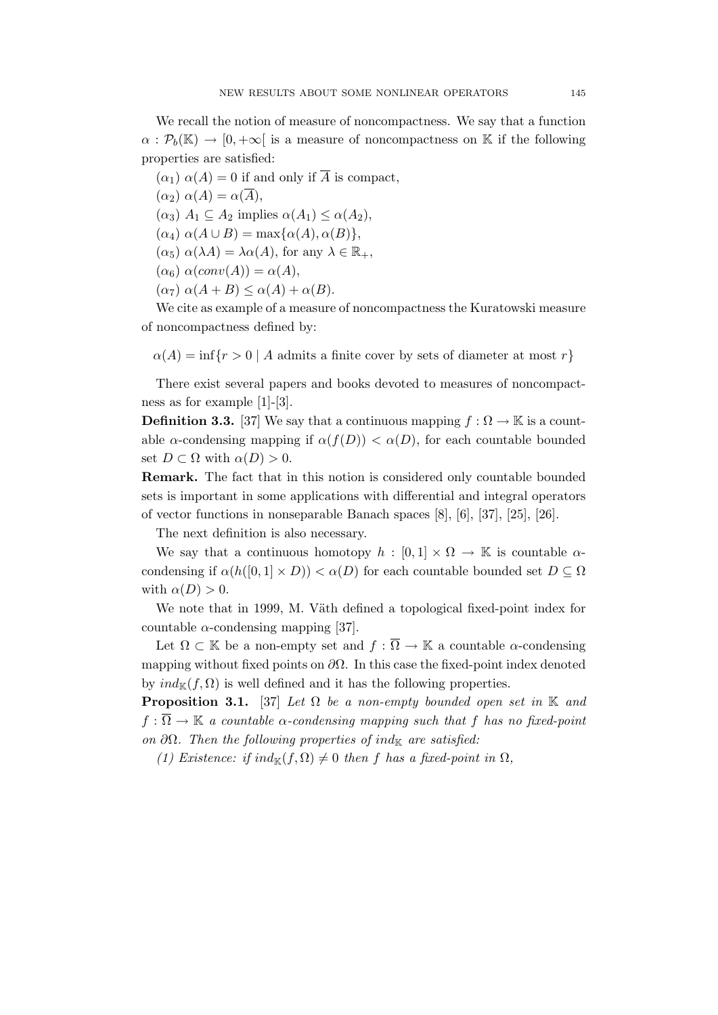We recall the notion of measure of noncompactness. We say that a function  $\alpha : \mathcal{P}_b(\mathbb{K}) \to [0, +\infty]$  is a measure of noncompactness on K if the following properties are satisfied:

- $(\alpha_1) \alpha(A) = 0$  if and only if  $\overline{A}$  is compact,
- $(\alpha_2) \alpha(A) = \alpha(\overline{A}),$
- $(\alpha_3)$   $A_1 \subseteq A_2$  implies  $\alpha(A_1) \leq \alpha(A_2)$ ,
- $(\alpha_4) \alpha(A \cup B) = \max{\alpha(A), \alpha(B)},$
- $(\alpha_5) \alpha(\lambda A) = \lambda \alpha(A)$ , for any  $\lambda \in \mathbb{R}_+$ ,
- $(\alpha_6) \alpha(conv(A)) = \alpha(A),$
- $(\alpha_7) \alpha(A+B) \leq \alpha(A)+\alpha(B).$

We cite as example of a measure of noncompactness the Kuratowski measure of noncompactness defined by:

 $\alpha(A) = \inf\{r > 0 \mid A \text{ admits a finite cover by sets of diameter at most } r\}$ 

There exist several papers and books devoted to measures of noncompactness as for example [1]-[3].

**Definition 3.3.** [37] We say that a continuous mapping  $f : \Omega \to \mathbb{K}$  is a countable  $\alpha$ -condensing mapping if  $\alpha(f(D)) < \alpha(D)$ , for each countable bounded set  $D \subset \Omega$  with  $\alpha(D) > 0$ .

Remark. The fact that in this notion is considered only countable bounded sets is important in some applications with differential and integral operators of vector functions in nonseparable Banach spaces [8], [6], [37], [25], [26].

The next definition is also necessary.

We say that a continuous homotopy  $h : [0,1] \times \Omega \to \mathbb{K}$  is countable  $\alpha$ condensing if  $\alpha(h([0,1] \times D)) < \alpha(D)$  for each countable bounded set  $D \subseteq \Omega$ with  $\alpha(D) > 0$ .

We note that in 1999, M. Väth defined a topological fixed-point index for countable  $\alpha$ -condensing mapping [37].

Let  $\Omega \subset \mathbb{K}$  be a non-empty set and  $f : \overline{\Omega} \to \mathbb{K}$  a countable  $\alpha$ -condensing mapping without fixed points on  $\partial\Omega$ . In this case the fixed-point index denoted by  $ind_{\mathbb{K}}(f,\Omega)$  is well defined and it has the following properties.

**Proposition 3.1.** [37] Let  $\Omega$  be a non-empty bounded open set in K and  $f : \overline{\Omega} \to \mathbb{K}$  a countable  $\alpha$ -condensing mapping such that f has no fixed-point on  $\partial\Omega$ . Then the following properties of ind<sub>K</sub> are satisfied:

(1) Existence: if  $ind_{\mathbb{K}}(f, \Omega) \neq 0$  then f has a fixed-point in  $\Omega$ ,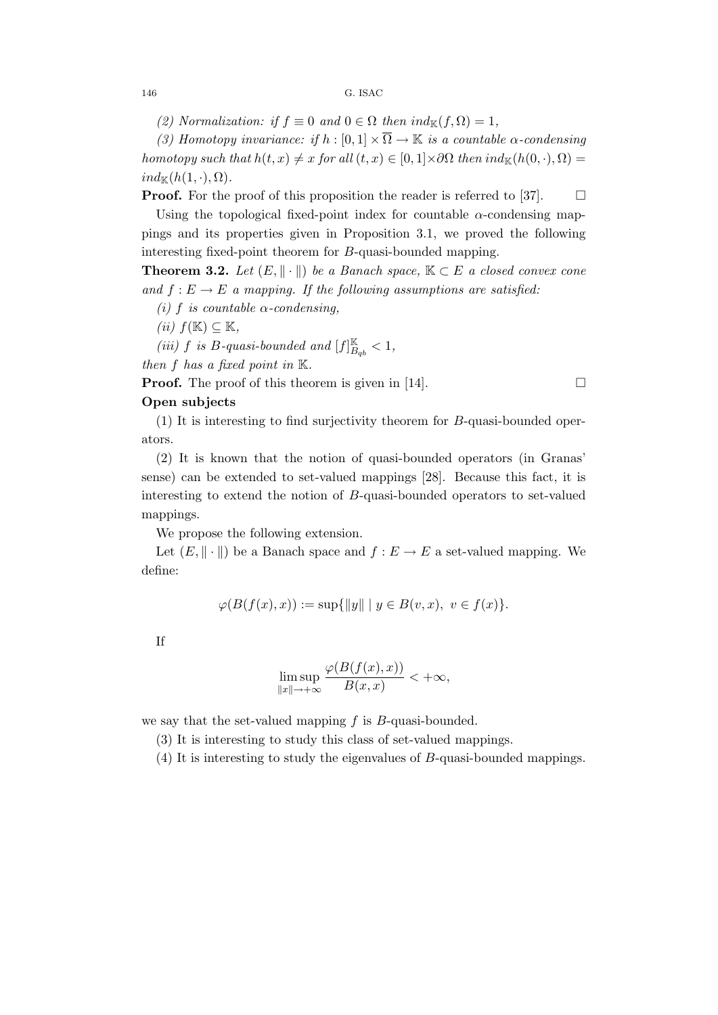(2) Normalization: if  $f \equiv 0$  and  $0 \in \Omega$  then  $ind_{\mathbb{K}}(f, \Omega) = 1$ ,

(3) Homotopy invariance: if  $h : [0,1] \times \overline{\Omega} \to \mathbb{K}$  is a countable  $\alpha$ -condensing homotopy such that  $h(t, x) \neq x$  for all  $(t, x) \in [0, 1] \times \partial \Omega$  then  $ind_{\mathbb{K}}(h(0, \cdot), \Omega) =$  $ind_{\mathbb{K}}(h(1, \cdot), \Omega).$ 

**Proof.** For the proof of this proposition the reader is referred to [37].  $\Box$ 

Using the topological fixed-point index for countable  $\alpha$ -condensing mappings and its properties given in Proposition 3.1, we proved the following interesting fixed-point theorem for B-quasi-bounded mapping.

**Theorem 3.2.** Let  $(E, \|\cdot\|)$  be a Banach space,  $K \subset E$  a closed convex cone and  $f: E \to E$  a mapping. If the following assumptions are satisfied:

- (i) f is countable  $\alpha$ -condensing,
- (ii)  $f(\mathbb{K}) \subseteq \mathbb{K}$ ,
- (iii) f is B-quasi-bounded and  $[f]_B^{\mathbb{K}}$  $\frac{\mathbb{K}}{B_{qb}} < 1,$

then  $f$  has a fixed point in  $K$ .

**Proof.** The proof of this theorem is given in [14].  $\Box$ 

## Open subjects

(1) It is interesting to find surjectivity theorem for B-quasi-bounded operators.

(2) It is known that the notion of quasi-bounded operators (in Granas' sense) can be extended to set-valued mappings [28]. Because this fact, it is interesting to extend the notion of B-quasi-bounded operators to set-valued mappings.

We propose the following extension.

Let  $(E, \|\cdot\|)$  be a Banach space and  $f : E \to E$  a set-valued mapping. We define:

$$
\varphi(B(f(x),x)) := \sup\{\|y\| \mid y \in B(v,x), \ v \in f(x)\}.
$$

If

$$
\limsup_{\|x\| \to +\infty} \frac{\varphi(B(f(x), x))}{B(x, x)} < +\infty,
$$

we say that the set-valued mapping  $f$  is  $B$ -quasi-bounded.

(3) It is interesting to study this class of set-valued mappings.

(4) It is interesting to study the eigenvalues of B-quasi-bounded mappings.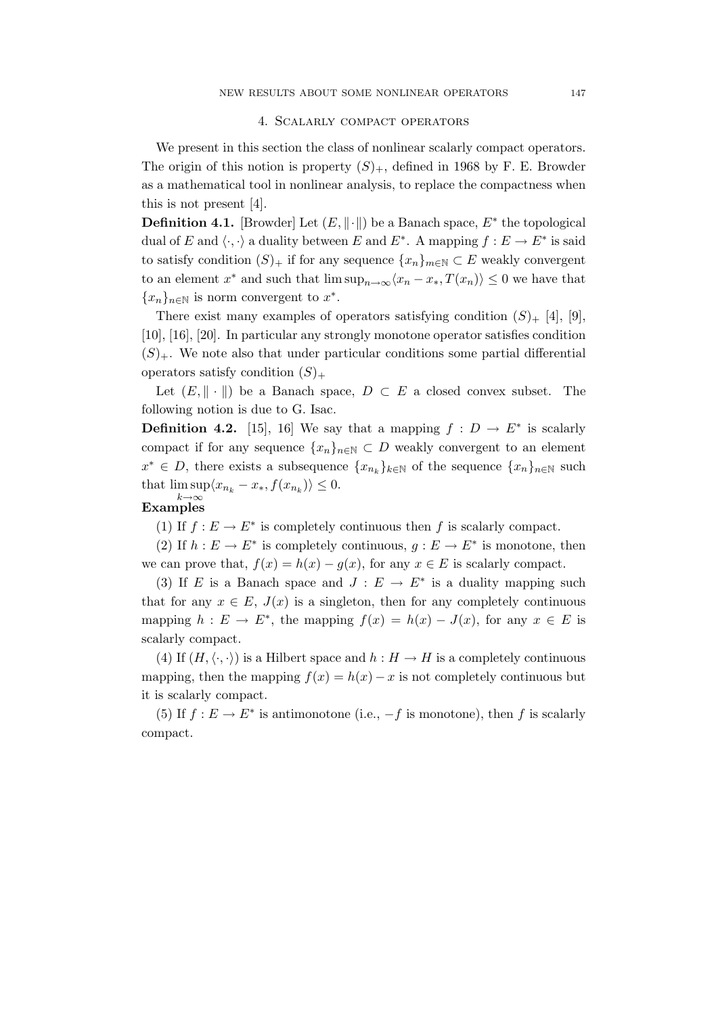### 4. Scalarly compact operators

We present in this section the class of nonlinear scalarly compact operators. The origin of this notion is property  $(S)_+$ , defined in 1968 by F. E. Browder as a mathematical tool in nonlinear analysis, to replace the compactness when this is not present [4].

**Definition 4.1.** [Browder] Let  $(E, \|\cdot\|)$  be a Banach space,  $E^*$  the topological dual of E and  $\langle \cdot, \cdot \rangle$  a duality between E and E<sup>\*</sup>. A mapping  $f : E \to E^*$  is said to satisfy condition  $(S)_+$  if for any sequence  $\{x_n\}_{m\in\mathbb{N}}\subset E$  weakly convergent to an element  $x^*$  and such that  $\limsup_{n\to\infty} \langle x_n - x_*, T(x_n) \rangle \leq 0$  we have that  ${x_n}_{n\in\mathbb{N}}$  is norm convergent to  $x^*$ .

There exist many examples of operators satisfying condition  $(S)_{+}$  [4], [9], [10], [16], [20]. In particular any strongly monotone operator satisfies condition  $(S)_+$ . We note also that under particular conditions some partial differential operators satisfy condition  $(S)_+$ 

Let  $(E, \|\cdot\|)$  be a Banach space,  $D \subset E$  a closed convex subset. The following notion is due to G. Isac.

**Definition 4.2.** [15], 16] We say that a mapping  $f: D \to E^*$  is scalarly compact if for any sequence  $\{x_n\}_{n\in\mathbb{N}}\subset D$  weakly convergent to an element  $x^* \in D$ , there exists a subsequence  $\{x_{n_k}\}_{k \in \mathbb{N}}$  of the sequence  $\{x_n\}_{n \in \mathbb{N}}$  such that  $\limsup \langle x_{n_k} - x_* , f(x_{n_k}) \rangle \leq 0.$  $k\rightarrow\infty$ 

## Examples

(1) If  $f : E \to E^*$  is completely continuous then f is scalarly compact.

(2) If  $h: E \to E^*$  is completely continuous,  $g: E \to E^*$  is monotone, then we can prove that,  $f(x) = h(x) - g(x)$ , for any  $x \in E$  is scalarly compact.

(3) If E is a Banach space and  $J: E \to E^*$  is a duality mapping such that for any  $x \in E$ ,  $J(x)$  is a singleton, then for any completely continuous mapping  $h: E \to E^*$ , the mapping  $f(x) = h(x) - J(x)$ , for any  $x \in E$  is scalarly compact.

(4) If  $(H, \langle \cdot, \cdot \rangle)$  is a Hilbert space and  $h : H \to H$  is a completely continuous mapping, then the mapping  $f(x) = h(x) - x$  is not completely continuous but it is scalarly compact.

(5) If  $f: E \to E^*$  is antimonotone (i.e.,  $-f$  is monotone), then f is scalarly compact.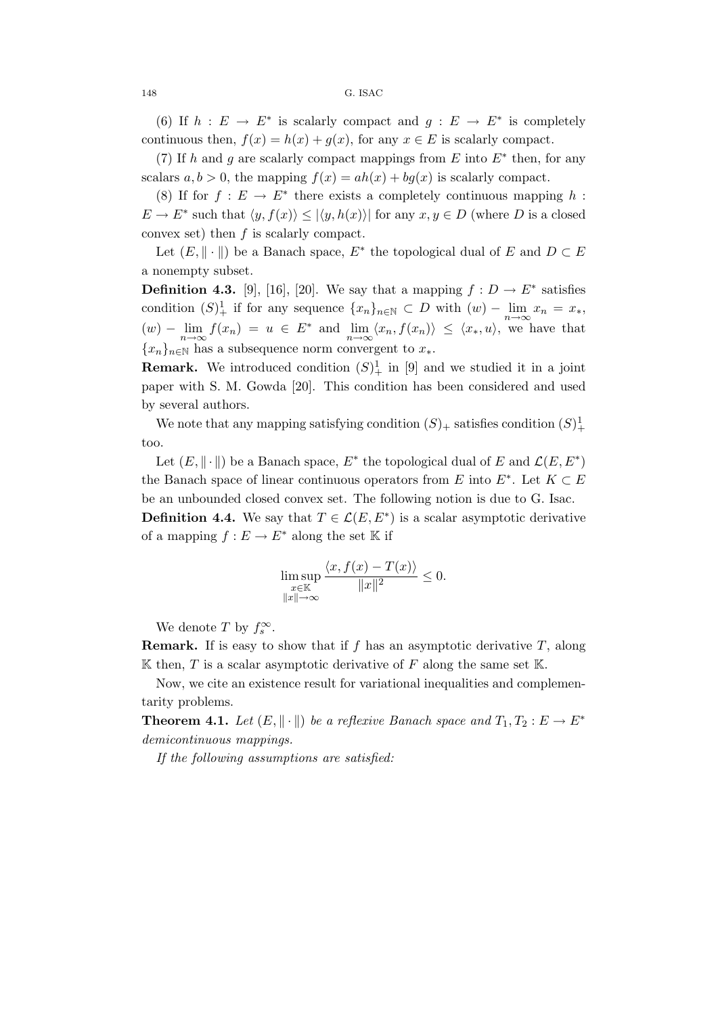(6) If  $h: E \to E^*$  is scalarly compact and  $g: E \to E^*$  is completely continuous then,  $f(x) = h(x) + q(x)$ , for any  $x \in E$  is scalarly compact.

(7) If h and g are scalarly compact mappings from  $E$  into  $E^*$  then, for any scalars  $a, b > 0$ , the mapping  $f(x) = ah(x) + bg(x)$  is scalarly compact.

(8) If for  $f : E \to E^*$  there exists a completely continuous mapping h:  $E \to E^*$  such that  $\langle y, f(x) \rangle \leq |\langle y, h(x) \rangle|$  for any  $x, y \in D$  (where D is a closed convex set) then f is scalarly compact.

Let  $(E, \|\cdot\|)$  be a Banach space,  $E^*$  the topological dual of E and  $D \subset E$ a nonempty subset.

**Definition 4.3.** [9], [16], [20]. We say that a mapping  $f: D \to E^*$  satisfies condition  $(S)^1_+$  if for any sequence  $\{x_n\}_{n\in\mathbb{N}}\subset D$  with  $(w) - \lim_{n\to\infty} x_n = x_*$ ,  $(w)$  –  $\lim_{n\to\infty} f(x_n) = u \in E^*$  and  $\lim_{n\to\infty} \langle x_n, f(x_n) \rangle \leq \langle x_*, u \rangle$ , we have that  ${x_n}_{n\in\mathbb{N}}$  has a subsequence norm convergent to  $x_*$ .

**Remark.** We introduced condition  $(S)^1_+$  in [9] and we studied it in a joint paper with S. M. Gowda [20]. This condition has been considered and used by several authors.

We note that any mapping satisfying condition  $(S)_+$  satisfies condition  $(S)_+^1$ too.

Let  $(E, \|\cdot\|)$  be a Banach space,  $E^*$  the topological dual of E and  $\mathcal{L}(E, E^*)$ the Banach space of linear continuous operators from E into  $E^*$ . Let  $K \subset E$ be an unbounded closed convex set. The following notion is due to G. Isac.

**Definition 4.4.** We say that  $T \in \mathcal{L}(E, E^*)$  is a scalar asymptotic derivative of a mapping  $f : E \to E^*$  along the set K if

$$
\limsup_{\substack{x \in \mathbb{K} \\ \|x\| \to \infty}} \frac{\langle x, f(x) - T(x) \rangle}{\|x\|^2} \le 0.
$$

We denote T by  $f_s^{\infty}$ .

**Remark.** If is easy to show that if f has an asymptotic derivative  $T$ , along  $\mathbb K$  then, T is a scalar asymptotic derivative of F along the same set  $\mathbb K$ .

Now, we cite an existence result for variational inequalities and complementarity problems.

**Theorem 4.1.** Let  $(E, \|\cdot\|)$  be a reflexive Banach space and  $T_1, T_2 : E \to E^*$ demicontinuous mappings.

If the following assumptions are satisfied: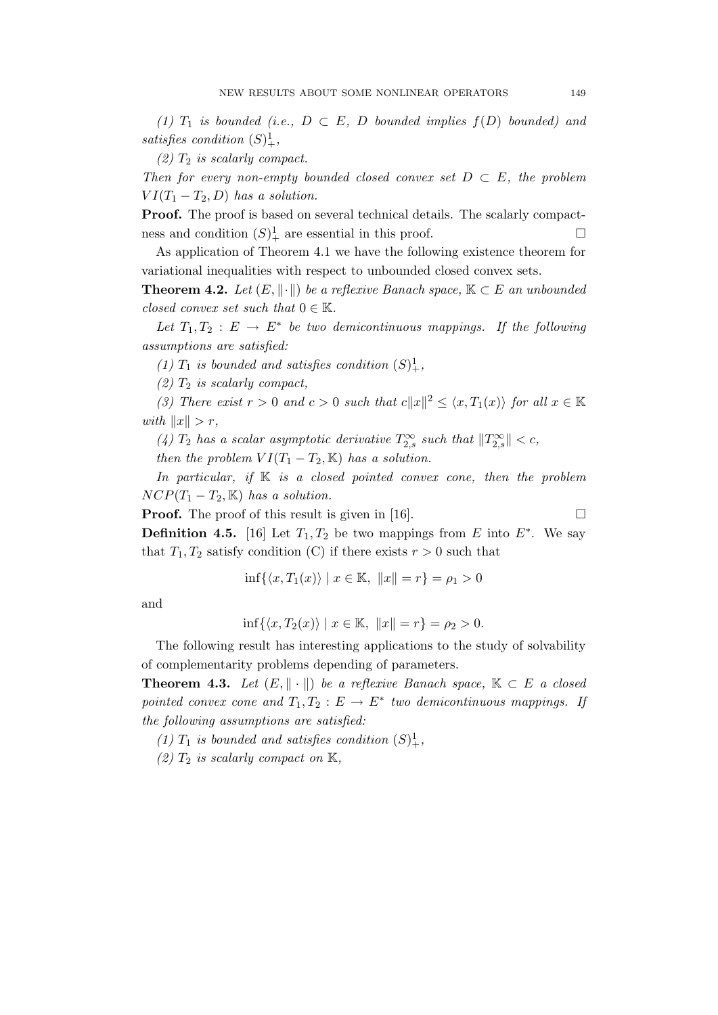(1)  $T_1$  is bounded (i.e.,  $D \subset E$ , D bounded implies  $f(D)$  bounded) and satisfies condition  $(S)^1_+,$ 

 $(2)$   $T_2$  is scalarly compact.

Then for every non-empty bounded closed convex set  $D \subset E$ , the problem  $VI(T_1 - T_2, D)$  has a solution.

Proof. The proof is based on several technical details. The scalarly compactness and condition  $(S)^1_+$  are essential in this proof.

As application of Theorem 4.1 we have the following existence theorem for variational inequalities with respect to unbounded closed convex sets.

**Theorem 4.2.** Let  $(E, \|\cdot\|)$  be a reflexive Banach space,  $\mathbb{K} \subset E$  an unbounded closed convex set such that  $0 \in \mathbb{K}$ .

Let  $T_1, T_2 : E \to E^*$  be two demicontinuous mappings. If the following assumptions are satisfied:

(1)  $T_1$  is bounded and satisfies condition  $(S)^1_+,$ 

 $(2)$   $T_2$  is scalarly compact,

(3) There exist  $r > 0$  and  $c > 0$  such that  $c||x||^2 \leq \langle x, T_1(x) \rangle$  for all  $x \in \mathbb{K}$ with  $||x|| > r$ ,

(4)  $T_2$  has a scalar asymptotic derivative  $T_{2,s}^{\infty}$  such that  $||T_{2,s}^{\infty}|| < c$ ,

then the problem  $VI(T_1 - T_2, \mathbb{K})$  has a solution.

In particular, if  $K$  is a closed pointed convex cone, then the problem  $NCP(T_1 - T_2, \mathbb{K})$  has a solution.

**Proof.** The proof of this result is given in [16].  $\Box$ 

**Definition 4.5.** [16] Let  $T_1, T_2$  be two mappings from E into  $E^*$ . We say that  $T_1, T_2$  satisfy condition (C) if there exists  $r > 0$  such that

$$
\inf\{\langle x, T_1(x)\rangle \mid x \in \mathbb{K}, \|x\| = r\} = \rho_1 > 0
$$

and

$$
\inf\{\langle x, T_2(x)\rangle \mid x \in \mathbb{K}, \|x\| = r\} = \rho_2 > 0.
$$

The following result has interesting applications to the study of solvability of complementarity problems depending of parameters.

**Theorem 4.3.** Let  $(E, \|\cdot\|)$  be a reflexive Banach space,  $\mathbb{K} \subset E$  a closed pointed convex cone and  $T_1, T_2 : E \to E^*$  two demicontinuous mappings. If the following assumptions are satisfied:

(1)  $T_1$  is bounded and satisfies condition  $(S)^1_+,$ 

(2)  $T_2$  is scalarly compact on  $\mathbb{K}$ ,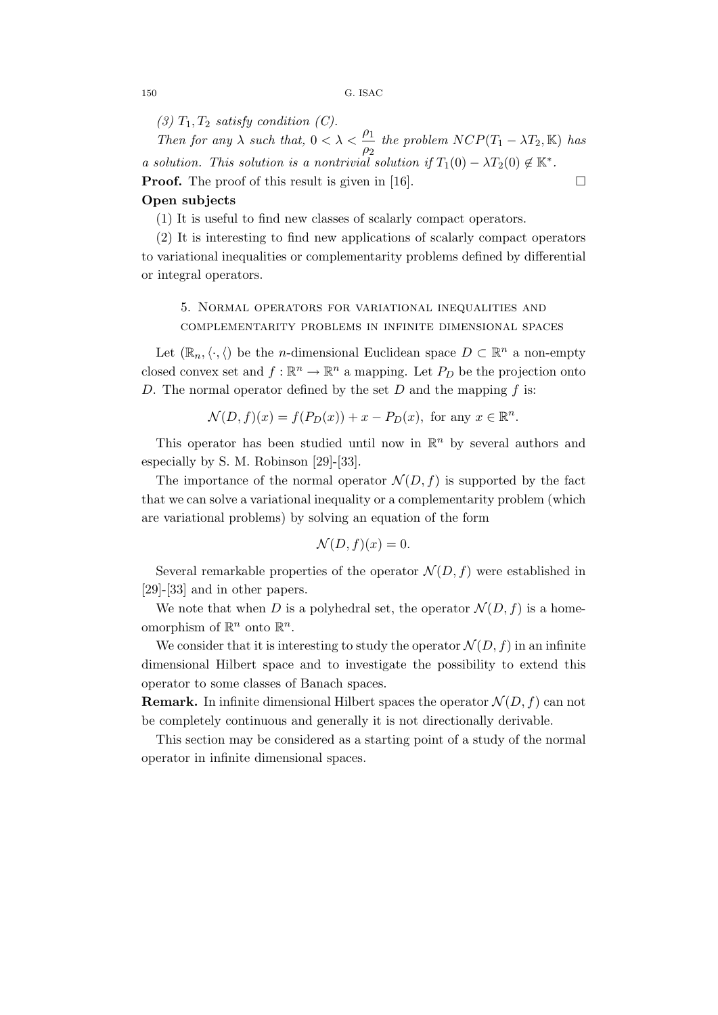(3)  $T_1, T_2$  satisfy condition (C).

Then for any  $\lambda$  such that,  $0 < \lambda < \frac{\rho_1}{\rho_2}$  $\frac{\rho_1}{\rho_2}$  the problem  $NCP(T_1 - \lambda T_2, \mathbb{K})$  has a solution. This solution is a nontrivial solution if  $T_1(0) - \lambda T_2(0) \notin \mathbb{K}^*$ . **Proof.** The proof of this result is given in [16].  $\Box$ 

#### Open subjects

(1) It is useful to find new classes of scalarly compact operators.

(2) It is interesting to find new applications of scalarly compact operators to variational inequalities or complementarity problems defined by differential or integral operators.

# 5. Normal operators for variational inequalities and complementarity problems in infinite dimensional spaces

Let  $(\mathbb{R}_n, \langle \cdot, \langle \cdot \rangle)$  be the *n*-dimensional Euclidean space  $D \subset \mathbb{R}^n$  a non-empty closed convex set and  $f : \mathbb{R}^n \to \mathbb{R}^n$  a mapping. Let  $P_D$  be the projection onto D. The normal operator defined by the set  $D$  and the mapping  $f$  is:

$$
\mathcal{N}(D, f)(x) = f(P_D(x)) + x - P_D(x), \text{ for any } x \in \mathbb{R}^n.
$$

This operator has been studied until now in  $\mathbb{R}^n$  by several authors and especially by S. M. Robinson [29]-[33].

The importance of the normal operator  $\mathcal{N}(D, f)$  is supported by the fact that we can solve a variational inequality or a complementarity problem (which are variational problems) by solving an equation of the form

$$
\mathcal{N}(D, f)(x) = 0.
$$

Several remarkable properties of the operator  $\mathcal{N}(D, f)$  were established in [29]-[33] and in other papers.

We note that when D is a polyhedral set, the operator  $\mathcal{N}(D, f)$  is a homeomorphism of  $\mathbb{R}^n$  onto  $\mathbb{R}^n$ .

We consider that it is interesting to study the operator  $\mathcal{N}(D, f)$  in an infinite dimensional Hilbert space and to investigate the possibility to extend this operator to some classes of Banach spaces.

**Remark.** In infinite dimensional Hilbert spaces the operator  $\mathcal{N}(D, f)$  can not be completely continuous and generally it is not directionally derivable.

This section may be considered as a starting point of a study of the normal operator in infinite dimensional spaces.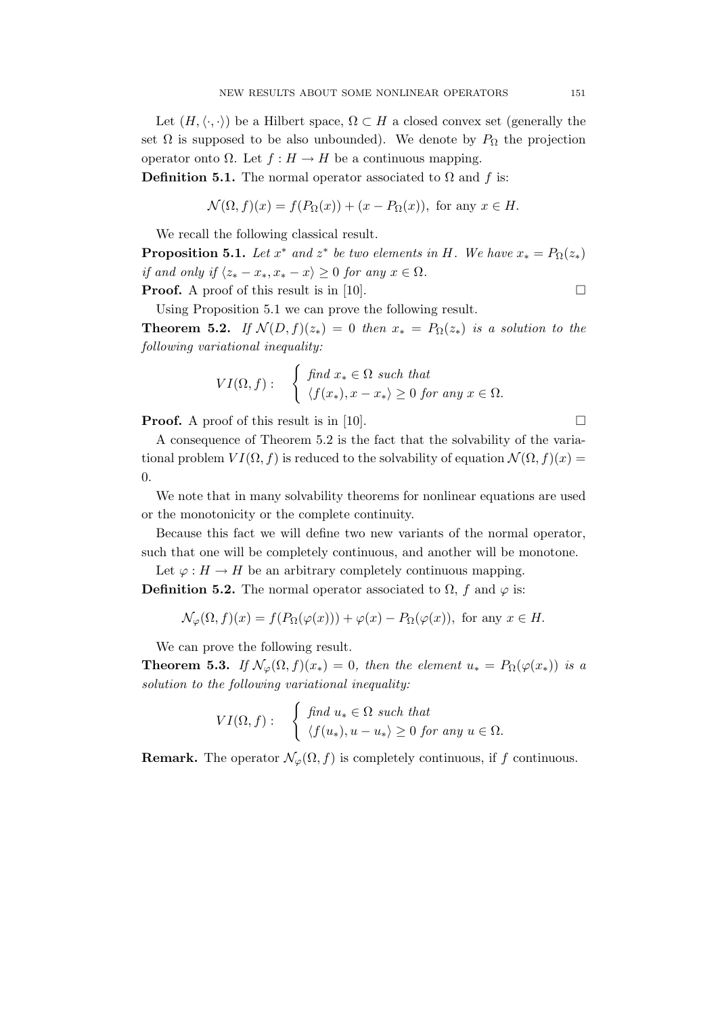Let  $(H, \langle \cdot, \cdot \rangle)$  be a Hilbert space,  $\Omega \subset H$  a closed convex set (generally the set  $\Omega$  is supposed to be also unbounded). We denote by  $P_{\Omega}$  the projection operator onto  $\Omega$ . Let  $f : H \to H$  be a continuous mapping.

**Definition 5.1.** The normal operator associated to  $\Omega$  and f is:

$$
\mathcal{N}(\Omega, f)(x) = f(P_{\Omega}(x)) + (x - P_{\Omega}(x)), \text{ for any } x \in H.
$$

We recall the following classical result.

**Proposition 5.1.** Let  $x^*$  and  $z^*$  be two elements in H. We have  $x_* = P_{\Omega}(z_*)$ if and only if  $\langle z_* - x_*, x_* - x \rangle \geq 0$  for any  $x \in \Omega$ . **Proof.** A proof of this result is in [10].  $\Box$ 

Using Proposition 5.1 we can prove the following result.

**Theorem 5.2.** If  $\mathcal{N}(D, f)(z_*) = 0$  then  $x_* = P_{\Omega}(z_*)$  is a solution to the following variational inequality:

$$
VI(\Omega, f): \quad \begin{cases} \text{ find } x_* \in \Omega \text{ such that} \\ \langle f(x_*) , x - x_* \rangle \geq 0 \text{ for any } x \in \Omega. \end{cases}
$$

**Proof.** A proof of this result is in [10].  $\Box$ 

A consequence of Theorem 5.2 is the fact that the solvability of the variational problem  $VI(\Omega, f)$  is reduced to the solvability of equation  $\mathcal{N}(\Omega, f)(x) =$ 0.

We note that in many solvability theorems for nonlinear equations are used or the monotonicity or the complete continuity.

Because this fact we will define two new variants of the normal operator, such that one will be completely continuous, and another will be monotone.

Let  $\varphi : H \to H$  be an arbitrary completely continuous mapping. **Definition 5.2.** The normal operator associated to  $\Omega$ , f and  $\varphi$  is:

$$
\mathcal{N}_{\varphi}(\Omega, f)(x) = f(P_{\Omega}(\varphi(x))) + \varphi(x) - P_{\Omega}(\varphi(x)), \text{ for any } x \in H.
$$

We can prove the following result.

**Theorem 5.3.** If  $\mathcal{N}_{\varphi}(\Omega, f)(x_*) = 0$ , then the element  $u_* = P_{\Omega}(\varphi(x_*))$  is a solution to the following variational inequality:

$$
VI(\Omega, f): \quad \begin{cases} \text{ find } u_* \in \Omega \text{ such that} \\ \langle f(u_*) , u - u_* \rangle \geq 0 \text{ for any } u \in \Omega. \end{cases}
$$

**Remark.** The operator  $\mathcal{N}_{\varphi}(\Omega, f)$  is completely continuous, if f continuous.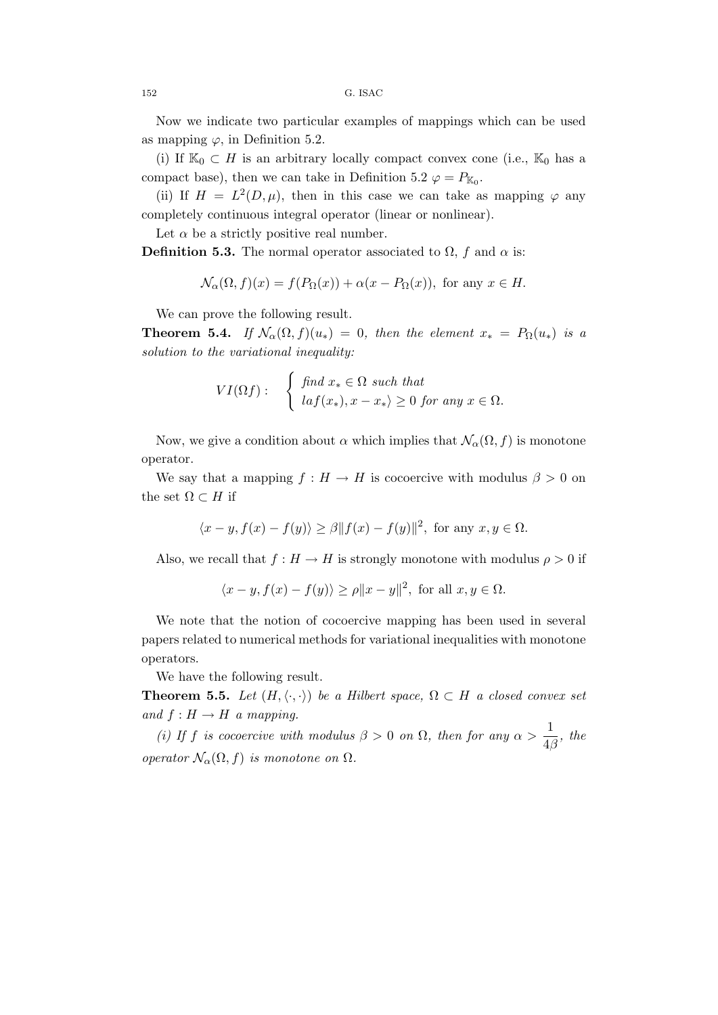Now we indicate two particular examples of mappings which can be used as mapping  $\varphi$ , in Definition 5.2.

(i) If  $\mathbb{K}_0 \subset H$  is an arbitrary locally compact convex cone (i.e.,  $\mathbb{K}_0$  has a compact base), then we can take in Definition 5.2  $\varphi = P_{\mathbb{K}_0}$ .

(ii) If  $H = L^2(D, \mu)$ , then in this case we can take as mapping  $\varphi$  any completely continuous integral operator (linear or nonlinear).

Let  $\alpha$  be a strictly positive real number.

**Definition 5.3.** The normal operator associated to  $\Omega$ , f and  $\alpha$  is:

$$
\mathcal{N}_{\alpha}(\Omega, f)(x) = f(P_{\Omega}(x)) + \alpha(x - P_{\Omega}(x)), \text{ for any } x \in H.
$$

We can prove the following result.

**Theorem 5.4.** If  $\mathcal{N}_{\alpha}(\Omega, f)(u_*) = 0$ , then the element  $x_* = P_{\Omega}(u_*)$  is a solution to the variational inequality:

$$
VI(\Omega f): \quad \begin{cases} \text{ find } x_* \in \Omega \text{ such that} \\ \text{ la } f(x_*) , x - x_* \rangle \geq 0 \text{ for any } x \in \Omega. \end{cases}
$$

Now, we give a condition about  $\alpha$  which implies that  $\mathcal{N}_{\alpha}(\Omega, f)$  is monotone operator.

We say that a mapping  $f : H \to H$  is cocoercive with modulus  $\beta > 0$  on the set  $\Omega \subset H$  if

$$
\langle x - y, f(x) - f(y) \rangle \ge \beta \| f(x) - f(y) \|^2, \text{ for any } x, y \in \Omega.
$$

Also, we recall that  $f : H \to H$  is strongly monotone with modulus  $\rho > 0$  if

$$
\langle x-y, f(x)-f(y)\rangle \ge \rho \|x-y\|^2, \text{ for all } x, y \in \Omega.
$$

We note that the notion of cocoercive mapping has been used in several papers related to numerical methods for variational inequalities with monotone operators.

We have the following result.

**Theorem 5.5.** Let  $(H, \langle \cdot, \cdot \rangle)$  be a Hilbert space,  $\Omega \subset H$  a closed convex set and  $f : H \to H$  a mapping.

(i) If f is cocoercive with modulus  $\beta > 0$  on  $\Omega$ , then for any  $\alpha > \frac{1}{\Lambda}$  $\frac{1}{4\beta}$ , the operator  $\mathcal{N}_{\alpha}(\Omega, f)$  is monotone on  $\Omega$ .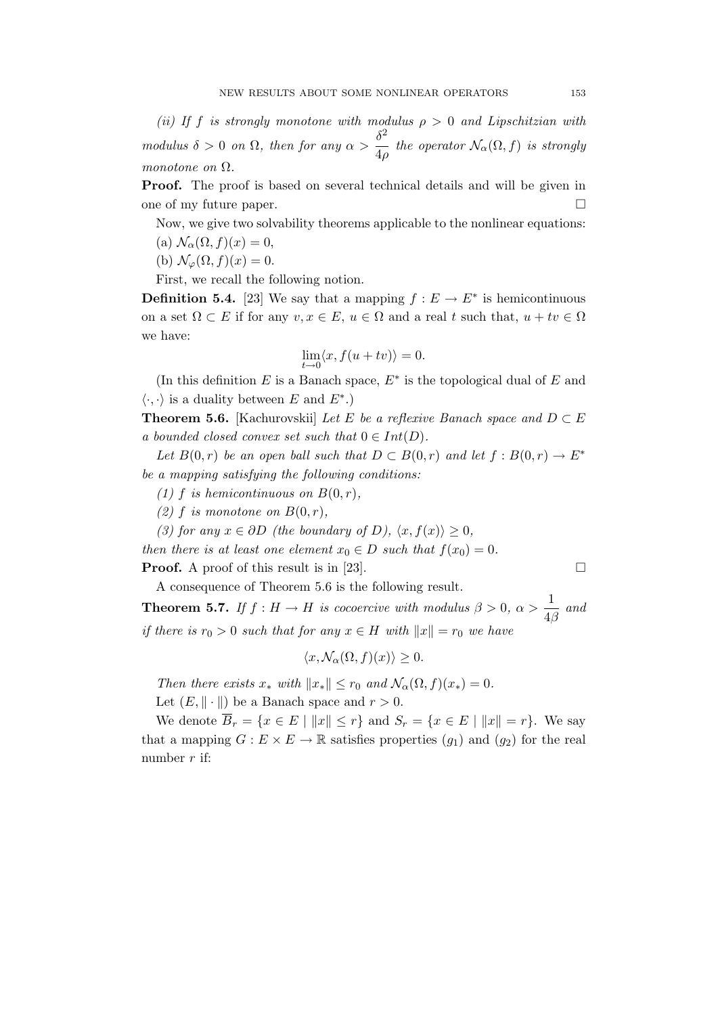(ii) If f is strongly monotone with modulus  $\rho > 0$  and Lipschitzian with modulus  $\delta > 0$  on  $\Omega$ , then for any  $\alpha > \frac{\delta^2}{4}$  $\frac{\partial}{\partial \varphi}$  the operator  $\mathcal{N}_{\alpha}(\Omega, f)$  is strongly monotone on Ω.

Proof. The proof is based on several technical details and will be given in one of my future paper.

Now, we give two solvability theorems applicable to the nonlinear equations:

(a)  $\mathcal{N}_{\alpha}(\Omega, f)(x) = 0$ ,

(b)  $\mathcal{N}_{\varphi}(\Omega, f)(x) = 0.$ 

First, we recall the following notion.

**Definition 5.4.** [23] We say that a mapping  $f : E \to E^*$  is hemicontinuous on a set  $\Omega \subset E$  if for any  $v, x \in E$ ,  $u \in \Omega$  and a real t such that,  $u + tv \in \Omega$ we have:

$$
\lim_{t \to 0} \langle x, f(u + tv) \rangle = 0.
$$

(In this definition  $E$  is a Banach space,  $E^*$  is the topological dual of  $E$  and  $\langle \cdot, \cdot \rangle$  is a duality between E and  $E^*$ .)

**Theorem 5.6.** [Kachurovskii] Let E be a reflexive Banach space and  $D \subset E$ a bounded closed convex set such that  $0 \in Int(D)$ .

Let  $B(0,r)$  be an open ball such that  $D \subset B(0,r)$  and let  $f : B(0,r) \to E^*$ be a mapping satisfying the following conditions:

(1) f is hemicontinuous on  $B(0,r)$ ,

(2) f is monotone on  $B(0,r)$ ,

(3) for any  $x \in \partial D$  (the boundary of D),  $\langle x, f(x) \rangle \geq 0$ ,

then there is at least one element  $x_0 \in D$  such that  $f(x_0) = 0$ .

**Proof.** A proof of this result is in [23].

A consequence of Theorem 5.6 is the following result.

**Theorem 5.7.** If  $f : H \to H$  is cocoercive with modulus  $\beta > 0$ ,  $\alpha > \frac{1}{\alpha}$  $\frac{1}{4\beta}$  and if there is  $r_0 > 0$  such that for any  $x \in H$  with  $||x|| = r_0$  we have

$$
\langle x, \mathcal{N}_{\alpha}(\Omega, f)(x) \rangle \ge 0.
$$

Then there exists  $x_*$  with  $||x_*|| \le r_0$  and  $\mathcal{N}_{\alpha}(\Omega, f)(x_*) = 0$ .

Let  $(E, \|\cdot\|)$  be a Banach space and  $r > 0$ .

We denote  $\overline{B}_r = \{x \in E \mid ||x|| \leq r\}$  and  $S_r = \{x \in E \mid ||x|| = r\}$ . We say that a mapping  $G : E \times E \to \mathbb{R}$  satisfies properties  $(g_1)$  and  $(g_2)$  for the real number  $r$  if: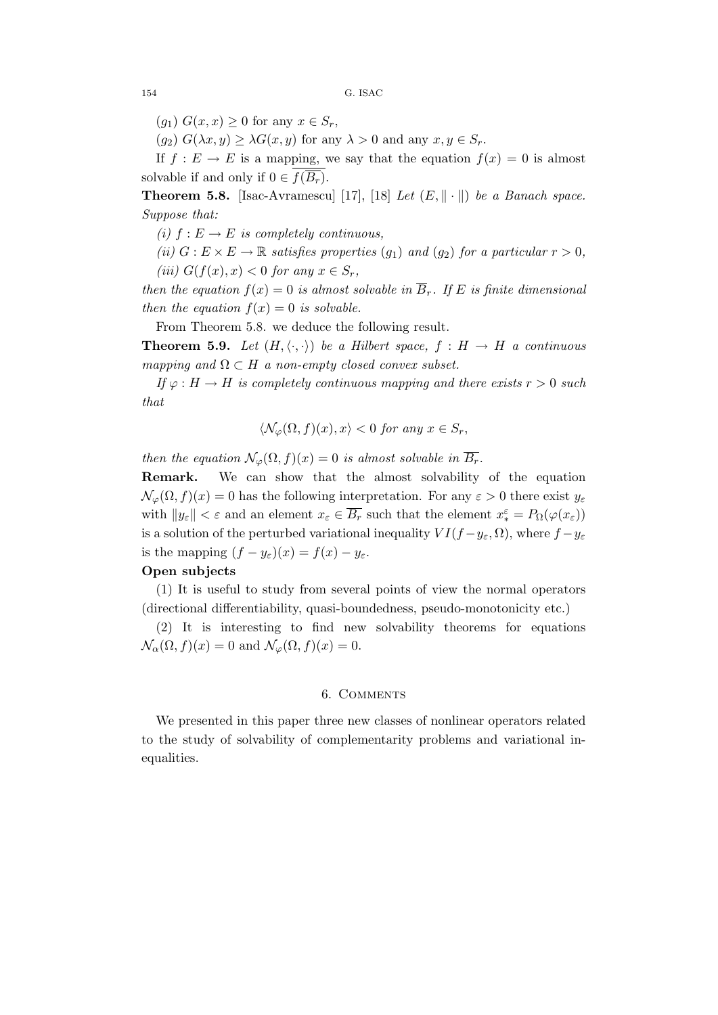$(g_1)$   $G(x, x) \geq 0$  for any  $x \in S_r$ ,

 $(g_2) G(\lambda x, y) \geq \lambda G(x, y)$  for any  $\lambda > 0$  and any  $x, y \in S_r$ .

If  $f: E \to E$  is a mapping, we say that the equation  $f(x) = 0$  is almost solvable if and only if  $0 \in f(\overline{B_r})$ .

**Theorem 5.8.** [Isac-Avramescu] [17], [18] Let  $(E, \|\cdot\|)$  be a Banach space. Suppose that:

(i)  $f : E \to E$  is completely continuous,

(ii)  $G: E \times E \to \mathbb{R}$  satisfies properties  $(g_1)$  and  $(g_2)$  for a particular  $r > 0$ , (iii)  $G(f(x), x) < 0$  for any  $x \in S_r$ ,

then the equation  $f(x) = 0$  is almost solvable in  $\overline{B}_r$ . If E is finite dimensional then the equation  $f(x) = 0$  is solvable.

From Theorem 5.8. we deduce the following result.

**Theorem 5.9.** Let  $(H, \langle \cdot, \cdot \rangle)$  be a Hilbert space,  $f : H \to H$  a continuous mapping and  $\Omega \subset H$  a non-empty closed convex subset.

If  $\varphi : H \to H$  is completely continuous mapping and there exists  $r > 0$  such that

$$
\langle \mathcal{N}_{\varphi}(\Omega, f)(x), x \rangle < 0 \text{ for any } x \in S_r,
$$

then the equation  $\mathcal{N}_{\varphi}(\Omega, f)(x) = 0$  is almost solvable in  $\overline{B_r}$ .

Remark. We can show that the almost solvability of the equation  $\mathcal{N}_{\varphi}(\Omega, f)(x) = 0$  has the following interpretation. For any  $\varepsilon > 0$  there exist  $y_{\varepsilon}$ with  $||y_{\varepsilon}|| < \varepsilon$  and an element  $x_{\varepsilon} \in \overline{B_r}$  such that the element  $x_*^{\varepsilon} = P_{\Omega}(\varphi(x_{\varepsilon}))$ is a solution of the perturbed variational inequality  $VI(f - y_{\varepsilon}, \Omega)$ , where  $f - y_{\varepsilon}$ is the mapping  $(f - y_{\varepsilon})(x) = f(x) - y_{\varepsilon}$ .

## Open subjects

(1) It is useful to study from several points of view the normal operators (directional differentiability, quasi-boundedness, pseudo-monotonicity etc.)

(2) It is interesting to find new solvability theorems for equations  $\mathcal{N}_{\alpha}(\Omega, f)(x) = 0$  and  $\mathcal{N}_{\varphi}(\Omega, f)(x) = 0$ .

### 6. Comments

We presented in this paper three new classes of nonlinear operators related to the study of solvability of complementarity problems and variational inequalities.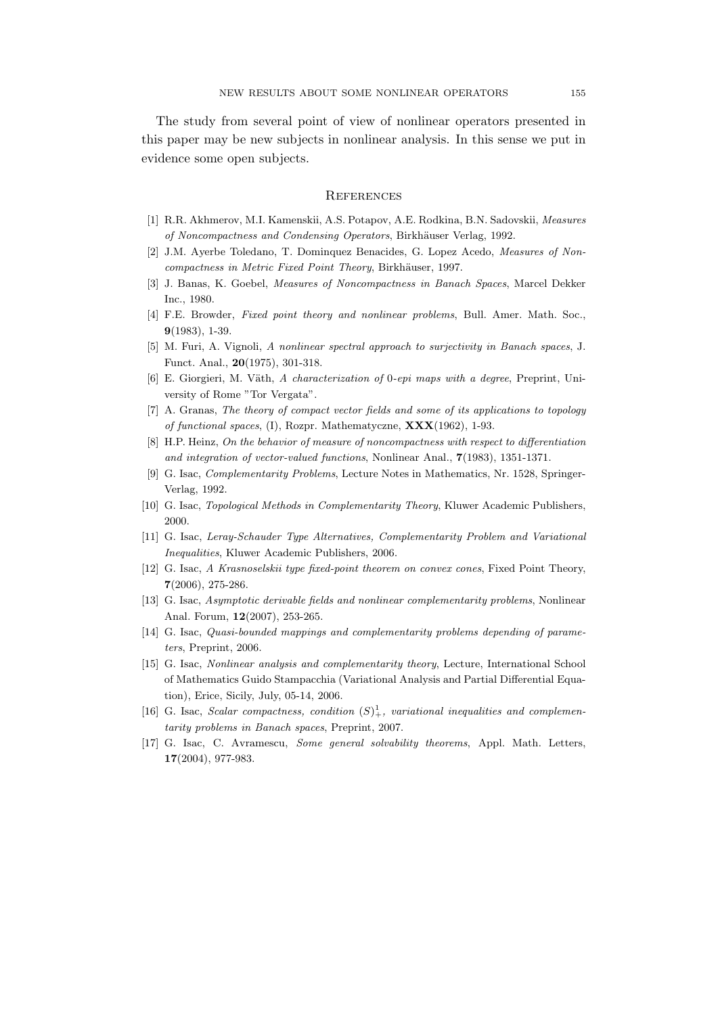The study from several point of view of nonlinear operators presented in this paper may be new subjects in nonlinear analysis. In this sense we put in evidence some open subjects.

#### **REFERENCES**

- [1] R.R. Akhmerov, M.I. Kamenskii, A.S. Potapov, A.E. Rodkina, B.N. Sadovskii, Measures of Noncompactness and Condensing Operators, Birkhäuser Verlag, 1992.
- [2] J.M. Ayerbe Toledano, T. Dominquez Benacides, G. Lopez Acedo, Measures of Noncompactness in Metric Fixed Point Theory, Birkhäuser, 1997.
- [3] J. Banas, K. Goebel, *Measures of Noncompactness in Banach Spaces*, Marcel Dekker Inc., 1980.
- [4] F.E. Browder, Fixed point theory and nonlinear problems, Bull. Amer. Math. Soc., 9(1983), 1-39.
- [5] M. Furi, A. Vignoli, A nonlinear spectral approach to surjectivity in Banach spaces, J. Funct. Anal., 20(1975), 301-318.
- [6] E. Giorgieri, M. Väth, A characterization of 0-epi maps with a degree, Preprint, University of Rome "Tor Vergata".
- [7] A. Granas, The theory of compact vector fields and some of its applications to topology of functional spaces,  $(I)$ , Rozpr. Mathematyczne,  $\mathbf{XXX}(1962)$ , 1-93.
- [8] H.P. Heinz, On the behavior of measure of noncompactness with respect to differentiation and integration of vector-valued functions, Nonlinear Anal., 7(1983), 1351-1371.
- [9] G. Isac, Complementarity Problems, Lecture Notes in Mathematics, Nr. 1528, Springer-Verlag, 1992.
- [10] G. Isac, Topological Methods in Complementarity Theory, Kluwer Academic Publishers, 2000.
- [11] G. Isac, Leray-Schauder Type Alternatives, Complementarity Problem and Variational Inequalities, Kluwer Academic Publishers, 2006.
- [12] G. Isac, A Krasnoselskii type fixed-point theorem on convex cones, Fixed Point Theory, 7(2006), 275-286.
- [13] G. Isac, Asymptotic derivable fields and nonlinear complementarity problems, Nonlinear Anal. Forum, 12(2007), 253-265.
- [14] G. Isac, Quasi-bounded mappings and complementarity problems depending of parameters, Preprint, 2006.
- [15] G. Isac, Nonlinear analysis and complementarity theory, Lecture, International School of Mathematics Guido Stampacchia (Variational Analysis and Partial Differential Equation), Erice, Sicily, July, 05-14, 2006.
- [16] G. Isac, Scalar compactness, condition  $(S)^1_+$ , variational inequalities and complementarity problems in Banach spaces, Preprint, 2007.
- [17] G. Isac, C. Avramescu, Some general solvability theorems, Appl. Math. Letters, 17(2004), 977-983.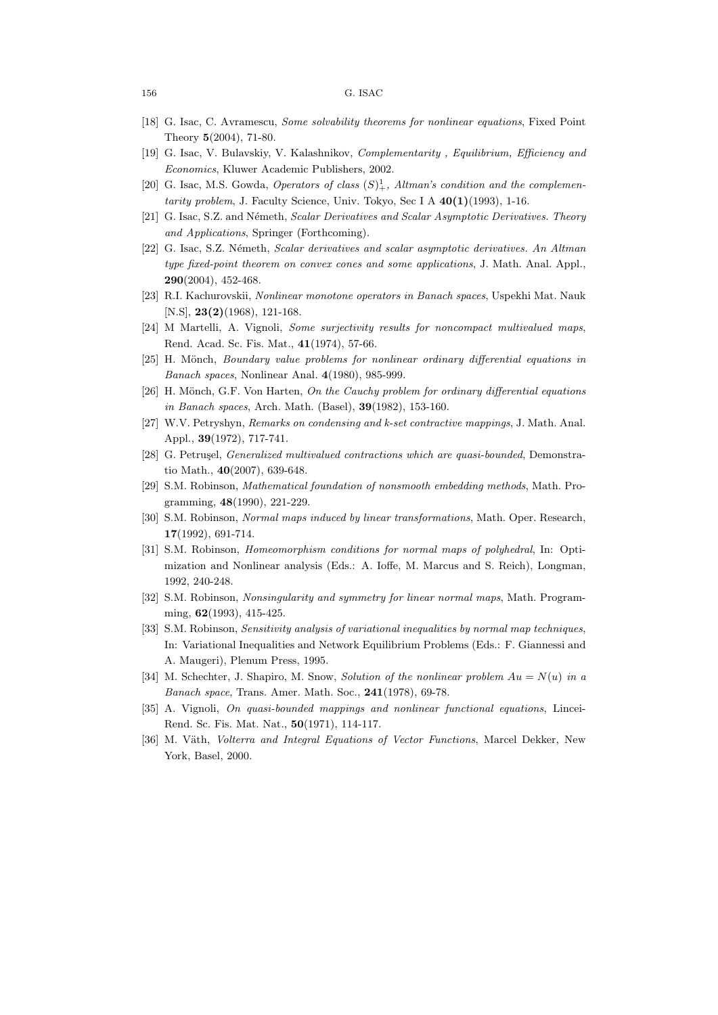- [18] G. Isac, C. Avramescu, Some solvability theorems for nonlinear equations, Fixed Point Theory 5(2004), 71-80.
- [19] G. Isac, V. Bulavskiy, V. Kalashnikov, Complementarity , Equilibrium, Efficiency and Economics, Kluwer Academic Publishers, 2002.
- [20] G. Isac, M.S. Gowda, Operators of class  $(S)^1_+$ , Altman's condition and the complementarity problem, J. Faculty Science, Univ. Tokyo, Sec I A  $40(1)(1993)$ , 1-16.
- [21] G. Isac, S.Z. and Németh, Scalar Derivatives and Scalar Asymptotic Derivatives. Theory and Applications, Springer (Forthcoming).
- [22] G. Isac, S.Z. Németh, Scalar derivatives and scalar asymptotic derivatives. An Altman type fixed-point theorem on convex cones and some applications, J. Math. Anal. Appl., 290(2004), 452-468.
- [23] R.I. Kachurovskii, Nonlinear monotone operators in Banach spaces, Uspekhi Mat. Nauk [N.S], **23(2)**(1968), 121-168.
- [24] M Martelli, A. Vignoli, Some surjectivity results for noncompact multivalued maps, Rend. Acad. Sc. Fis. Mat., 41(1974), 57-66.
- [25] H. Mönch, Boundary value problems for nonlinear ordinary differential equations in Banach spaces, Nonlinear Anal. 4(1980), 985-999.
- [26] H. Mönch, G.F. Von Harten, On the Cauchy problem for ordinary differential equations in Banach spaces, Arch. Math. (Basel), 39(1982), 153-160.
- [27] W.V. Petryshyn, Remarks on condensing and k-set contractive mappings, J. Math. Anal. Appl., 39(1972), 717-741.
- [28] G. Petrușel, *Generalized multivalued contractions which are quasi-bounded*, Demonstratio Math., 40(2007), 639-648.
- [29] S.M. Robinson, Mathematical foundation of nonsmooth embedding methods, Math. Programming, 48(1990), 221-229.
- [30] S.M. Robinson, *Normal maps induced by linear transformations*, Math. Oper. Research, 17(1992), 691-714.
- [31] S.M. Robinson, *Homeomorphism conditions for normal maps of polyhedral*, In: Optimization and Nonlinear analysis (Eds.: A. Ioffe, M. Marcus and S. Reich), Longman, 1992, 240-248.
- [32] S.M. Robinson, Nonsingularity and symmetry for linear normal maps, Math. Programming, 62(1993), 415-425.
- [33] S.M. Robinson, Sensitivity analysis of variational inequalities by normal map techniques, In: Variational Inequalities and Network Equilibrium Problems (Eds.: F. Giannessi and A. Maugeri), Plenum Press, 1995.
- [34] M. Schechter, J. Shapiro, M. Snow, Solution of the nonlinear problem  $Au = N(u)$  in a Banach space, Trans. Amer. Math. Soc., 241(1978), 69-78.
- [35] A. Vignoli, On quasi-bounded mappings and nonlinear functional equations, Lincei-Rend. Sc. Fis. Mat. Nat., **50**(1971), 114-117.
- [36] M. Väth, Volterra and Integral Equations of Vector Functions, Marcel Dekker, New York, Basel, 2000.